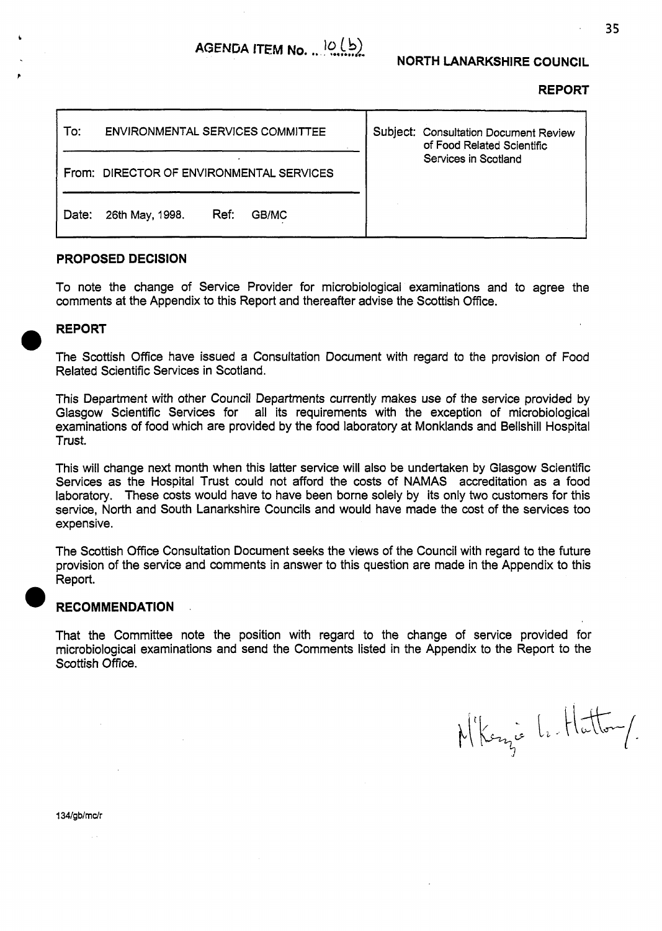# **NORTH LANARKSHIRE COUNCIL**

### **REPORT**

| To:   | <b>ENVIRONMENTAL SERVICES COMMITTEE</b>  |      |       | Subject: Consultation Document Review<br>of Food Related Scientific |  |
|-------|------------------------------------------|------|-------|---------------------------------------------------------------------|--|
|       | From: DIRECTOR OF ENVIRONMENTAL SERVICES |      |       | Services in Scotland                                                |  |
| Date: | 26th May, 1998.                          | Ref: | GB/MC |                                                                     |  |

### **PROPOSED DECISION**

To note the change of Service Provider for microbiological examinations and to agree the comments at the Appendix to this Report and thereafter advise the Scottish Office.

# **REPORT**

*0* 

The Scottish Office have issued a Consultation Document with regard to the provision of Food Related Scientific Services in Scotland.

This Department with other Council Departments currently makes use of the service provided by Glasgow Scientific Services for all its requirements with the exception of microbiological examinations of food which are provided by the food laboratory at Monklands and Bellshill Hospital Trust.

This will change next month when this latter service will also be undertaken by Glasgow Scientific Services as the Hospital Trust could not afford the costs of NAMAS accreditation as a food laboratory. These costs would have to have been borne solely by its only **two** customers for this service, North and South Lanarkshire Councils and would have made the cost of the services too expensive.

The Scottish Office Consultation Document seeks the views of the Council with regard to the future provision **of** the service and comments in answer to this question are made in the Appendix to this ReDort.

### **RECOMMENDATION**

That the Committee note the position with regard to the change of service provided for microbiological examinations and send the Comments listed in the Appendix to the Report to the Scottish Office.

N'Kenzie Le Hatton/

134/gb/mc/r